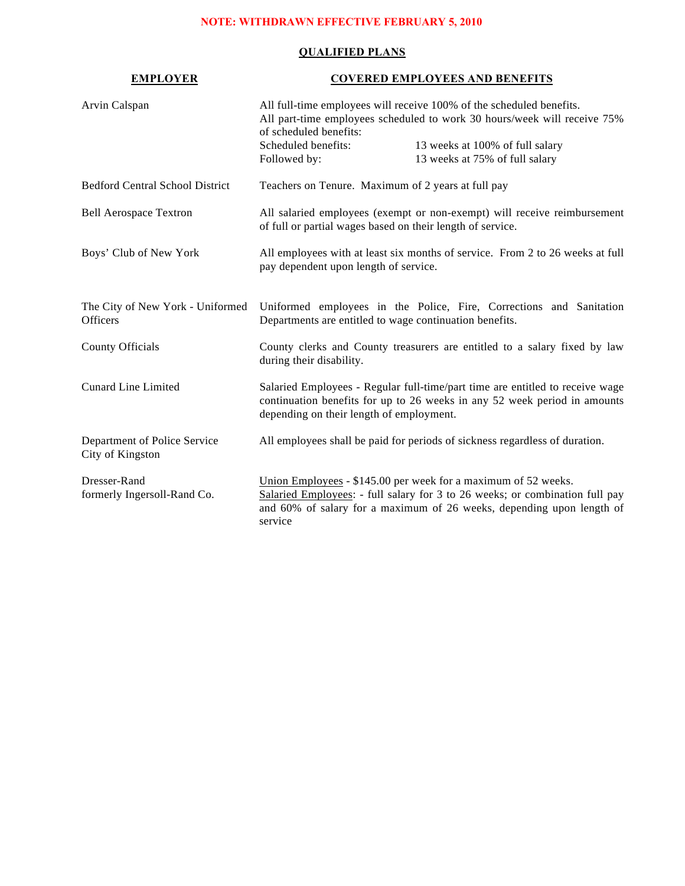# **NOTE: WITHDRAWN EFFECTIVE FEBRUARY 5, 2010**

## **QUALIFIED PLANS**

| <b>EMPLOYER</b>                                     | <b>COVERED EMPLOYEES AND BENEFITS</b>                                                                                                                                      |                                                                                                                                                                                                                         |
|-----------------------------------------------------|----------------------------------------------------------------------------------------------------------------------------------------------------------------------------|-------------------------------------------------------------------------------------------------------------------------------------------------------------------------------------------------------------------------|
| Arvin Calspan                                       | All full-time employees will receive 100% of the scheduled benefits.<br>All part-time employees scheduled to work 30 hours/week will receive 75%<br>of scheduled benefits: |                                                                                                                                                                                                                         |
|                                                     | Scheduled benefits:<br>Followed by:                                                                                                                                        | 13 weeks at 100% of full salary<br>13 weeks at 75% of full salary                                                                                                                                                       |
| <b>Bedford Central School District</b>              | Teachers on Tenure. Maximum of 2 years at full pay                                                                                                                         |                                                                                                                                                                                                                         |
| <b>Bell Aerospace Textron</b>                       | All salaried employees (exempt or non-exempt) will receive reimbursement<br>of full or partial wages based on their length of service.                                     |                                                                                                                                                                                                                         |
| Boys' Club of New York                              | pay dependent upon length of service.                                                                                                                                      | All employees with at least six months of service. From 2 to 26 weeks at full                                                                                                                                           |
| The City of New York - Uniformed<br><b>Officers</b> | Uniformed employees in the Police, Fire, Corrections and Sanitation<br>Departments are entitled to wage continuation benefits.                                             |                                                                                                                                                                                                                         |
| County Officials                                    | during their disability.                                                                                                                                                   | County clerks and County treasurers are entitled to a salary fixed by law                                                                                                                                               |
| <b>Cunard Line Limited</b>                          | depending on their length of employment.                                                                                                                                   | Salaried Employees - Regular full-time/part time are entitled to receive wage<br>continuation benefits for up to 26 weeks in any 52 week period in amounts                                                              |
| Department of Police Service<br>City of Kingston    |                                                                                                                                                                            | All employees shall be paid for periods of sickness regardless of duration.                                                                                                                                             |
| Dresser-Rand<br>formerly Ingersoll-Rand Co.         | service                                                                                                                                                                    | Union Employees - \$145.00 per week for a maximum of 52 weeks.<br>Salaried Employees: - full salary for 3 to 26 weeks; or combination full pay<br>and 60% of salary for a maximum of 26 weeks, depending upon length of |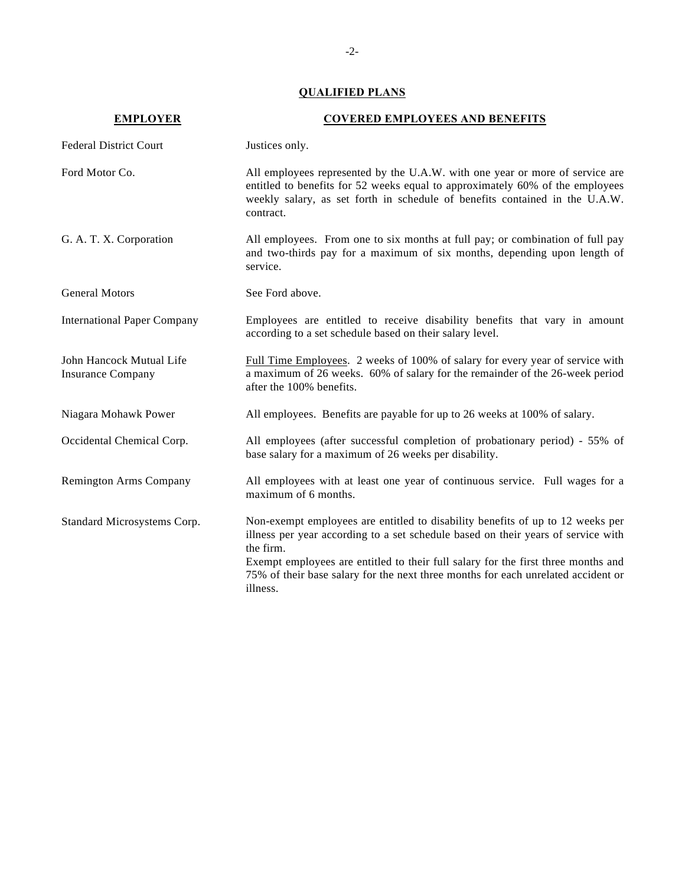## **QUALIFIED PLANS**

| <b>EMPLOYER</b>                                      | <b>COVERED EMPLOYEES AND BENEFITS</b>                                                                                                                                                                                                                                                                                                                                  |
|------------------------------------------------------|------------------------------------------------------------------------------------------------------------------------------------------------------------------------------------------------------------------------------------------------------------------------------------------------------------------------------------------------------------------------|
| <b>Federal District Court</b>                        | Justices only.                                                                                                                                                                                                                                                                                                                                                         |
| Ford Motor Co.                                       | All employees represented by the U.A.W. with one year or more of service are<br>entitled to benefits for 52 weeks equal to approximately 60% of the employees<br>weekly salary, as set forth in schedule of benefits contained in the U.A.W.<br>contract.                                                                                                              |
| G. A. T. X. Corporation                              | All employees. From one to six months at full pay; or combination of full pay<br>and two-thirds pay for a maximum of six months, depending upon length of<br>service.                                                                                                                                                                                                  |
| <b>General Motors</b>                                | See Ford above.                                                                                                                                                                                                                                                                                                                                                        |
| <b>International Paper Company</b>                   | Employees are entitled to receive disability benefits that vary in amount<br>according to a set schedule based on their salary level.                                                                                                                                                                                                                                  |
| John Hancock Mutual Life<br><b>Insurance Company</b> | Full Time Employees. 2 weeks of 100% of salary for every year of service with<br>a maximum of 26 weeks. 60% of salary for the remainder of the 26-week period<br>after the 100% benefits.                                                                                                                                                                              |
| Niagara Mohawk Power                                 | All employees. Benefits are payable for up to 26 weeks at 100% of salary.                                                                                                                                                                                                                                                                                              |
| Occidental Chemical Corp.                            | All employees (after successful completion of probationary period) - 55% of<br>base salary for a maximum of 26 weeks per disability.                                                                                                                                                                                                                                   |
| <b>Remington Arms Company</b>                        | All employees with at least one year of continuous service. Full wages for a<br>maximum of 6 months.                                                                                                                                                                                                                                                                   |
| Standard Microsystems Corp.                          | Non-exempt employees are entitled to disability benefits of up to 12 weeks per<br>illness per year according to a set schedule based on their years of service with<br>the firm.<br>Exempt employees are entitled to their full salary for the first three months and<br>75% of their base salary for the next three months for each unrelated accident or<br>illness. |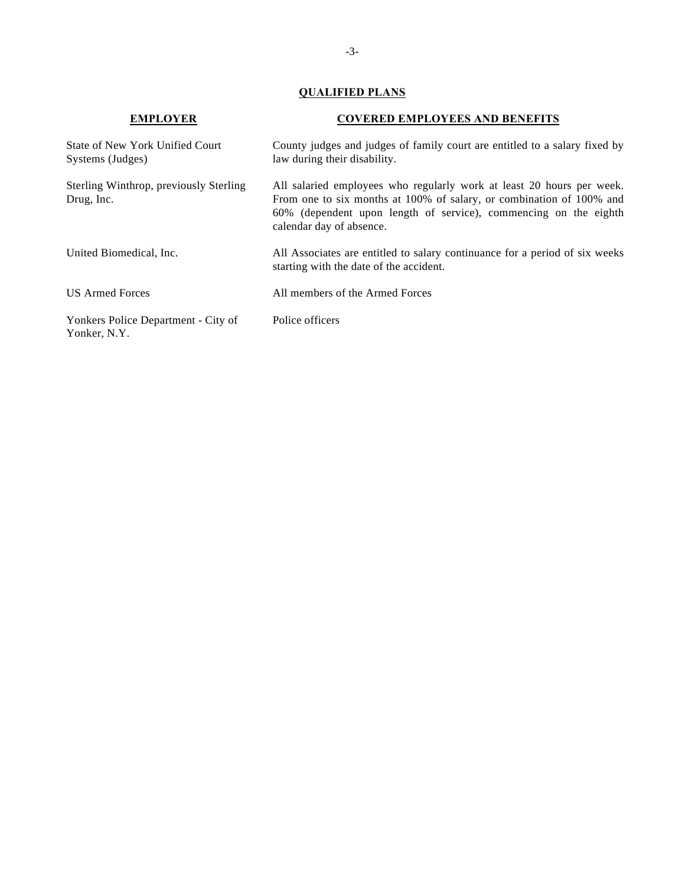## **QUALIFIED PLANS**

| <b>EMPLOYER</b>                                            | <b>COVERED EMPLOYEES AND BENEFITS</b><br>County judges and judges of family court are entitled to a salary fixed by<br>law during their disability.                                                                                           |  |
|------------------------------------------------------------|-----------------------------------------------------------------------------------------------------------------------------------------------------------------------------------------------------------------------------------------------|--|
| <b>State of New York Unified Court</b><br>Systems (Judges) |                                                                                                                                                                                                                                               |  |
| Sterling Winthrop, previously Sterling<br>Drug, Inc.       | All salaried employees who regularly work at least 20 hours per week.<br>From one to six months at 100% of salary, or combination of 100% and<br>60% (dependent upon length of service), commencing on the eighth<br>calendar day of absence. |  |
| United Biomedical, Inc.                                    | All Associates are entitled to salary continuance for a period of six weeks<br>starting with the date of the accident.                                                                                                                        |  |
| <b>US Armed Forces</b>                                     | All members of the Armed Forces                                                                                                                                                                                                               |  |
| Yonkers Police Department - City of<br>Yonker, N.Y.        | Police officers                                                                                                                                                                                                                               |  |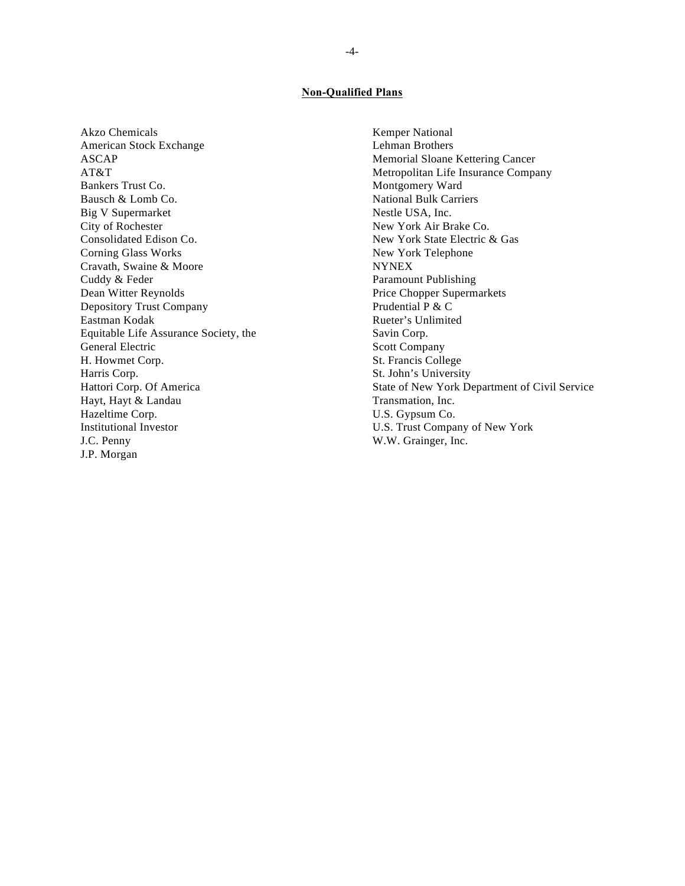#### **Non-Qualified Plans**

Akzo Chemicals Kemper National American Stock Exchange Lehman Brothers ASCAP Memorial Sloane Kettering Cancer Bankers Trust Co. Montgomery Ward Bausch & Lomb Co. National Bulk Carriers Big V Supermarket Nestle USA, Inc. City of Rochester New York Air Brake Co. Consolidated Edison Co. New York State Electric & Gas Corning Glass Works New York Telephone Cravath, Swaine & Moore NYNEX Cuddy & Feder Paramount Publishing Dean Witter Reynolds Price Chopper Supermarkets Depository Trust Company Prudential P & C Eastman Kodak Rueter's Unlimited Equitable Life Assurance Society, the Savin Corp. General Electric Scott Company H. Howmet Corp. St. Francis College Harris Corp. St. John's University Hayt, Hayt & Landau Transmation, Inc. Hazeltime Corp.  $U.S. Gypsum Co.$ Institutional Investor U.S. Trust Company of New York J.C. Penny W.W. Grainger, Inc. J.P. Morgan

AT&T Metropolitan Life Insurance Company Hattori Corp. Of America State of New York Department of Civil Service